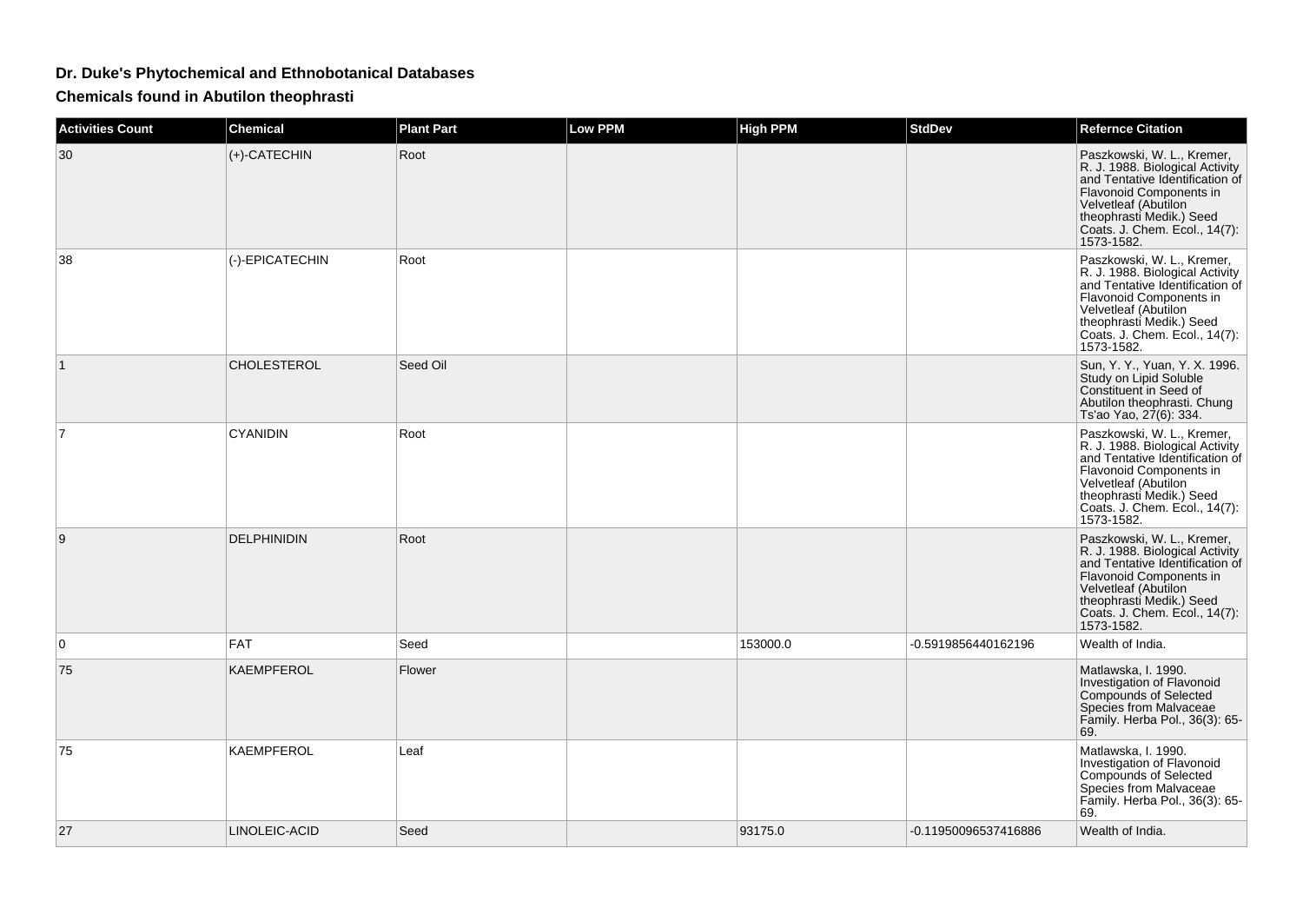## **Dr. Duke's Phytochemical and Ethnobotanical Databases**

**Chemicals found in Abutilon theophrasti**

| <b>Activities Count</b> | <b>Chemical</b>    | <b>Plant Part</b> | <b>Low PPM</b> | <b>High PPM</b> | <b>StdDev</b>        | <b>Refernce Citation</b>                                                                                                                                                                                                       |
|-------------------------|--------------------|-------------------|----------------|-----------------|----------------------|--------------------------------------------------------------------------------------------------------------------------------------------------------------------------------------------------------------------------------|
| 30                      | (+)-CATECHIN       | Root              |                |                 |                      | Paszkowski, W. L., Kremer,<br>R. J. 1988. Biological Activity<br>and Tentative Identification of<br>Flavonoid Components in<br>Velvetleaf (Abutilon<br>theophrasti Medik.) Seed<br>Coats. J. Chem. Ecol., 14(7):<br>1573-1582. |
| 38                      | (-)-EPICATECHIN    | Root              |                |                 |                      | Paszkowski, W. L., Kremer,<br>R. J. 1988. Biological Activity<br>and Tentative Identification of<br>Flavonoid Components in<br>Velvetleaf (Abutilon<br>theophrasti Medik.) Seed<br>Coats. J. Chem. Ecol., 14(7):<br>1573-1582. |
| 1                       | <b>CHOLESTEROL</b> | Seed Oil          |                |                 |                      | Sun, Y. Y., Yuan, Y. X. 1996.<br>Study on Lipid Soluble<br>Constituent in Seed of<br>Abutilon theophrasti. Chung<br>Ts'ao Yao, 27(6): 334.                                                                                     |
| 7                       | <b>CYANIDIN</b>    | Root              |                |                 |                      | Paszkowski, W. L., Kremer,<br>R. J. 1988. Biological Activity<br>and Tentative Identification of<br>Flavonoid Components in<br>Velvetleaf (Abutilon<br>theophrasti Medik.) Seed<br>Coats. J. Chem. Ecol., 14(7):<br>1573-1582. |
| 9                       | <b>DELPHINIDIN</b> | Root              |                |                 |                      | Paszkowski, W. L., Kremer,<br>R. J. 1988. Biological Activity<br>and Tentative Identification of<br>Flavonoid Components in<br>Velvetleaf (Abutilon<br>theophrasti Medik.) Seed<br>Coats. J. Chem. Ecol., 14(7):<br>1573-1582. |
| $\Omega$                | <b>FAT</b>         | Seed              |                | 153000.0        | -0.5919856440162196  | Wealth of India.                                                                                                                                                                                                               |
| 75                      | <b>KAEMPFEROL</b>  | Flower            |                |                 |                      | Matlawska, I. 1990.<br>Investigation of Flavonoid<br><b>Compounds of Selected</b><br>Species from Malvaceae<br>Family. Herba Pol., 36(3): 65-<br>69.                                                                           |
| 75                      | <b>KAEMPFEROL</b>  | Leaf              |                |                 |                      | Matlawska, I. 1990.<br>Investigation of Flavonoid<br>Compounds of Selected<br>Species from Malvaceae<br>Family. Herba Pol., 36(3): 65-<br>69.                                                                                  |
| 27                      | LINOLEIC-ACID      | Seed              |                | 93175.0         | -0.11950096537416886 | Wealth of India.                                                                                                                                                                                                               |